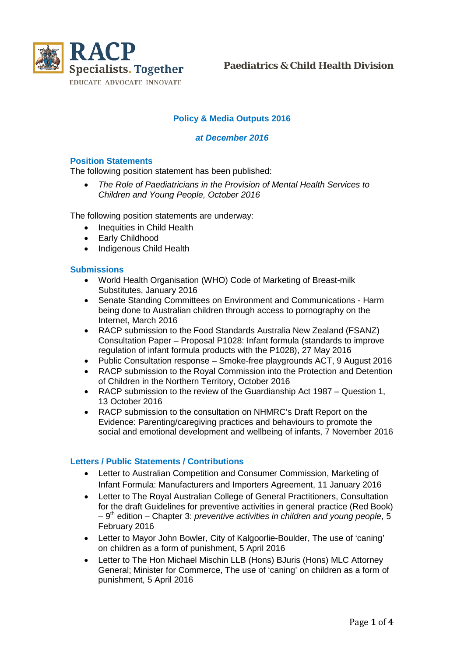

**Paediatrics & Child Health Division**

## **Policy & Media Outputs 2016**

#### *at December 2016*

#### **Position Statements**

The following position statement has been published:

• *The Role of Paediatricians in the Provision of Mental Health Services to Children and Young People, October 2016*

The following position statements are underway:

- Inequities in Child Health
- Early Childhood
- Indigenous Child Health

#### **Submissions**

- World Health Organisation (WHO) Code of Marketing of Breast-milk Substitutes, January 2016
- Senate Standing Committees on Environment and Communications Harm being done to Australian children through access to pornography on the Internet, March 2016
- RACP submission to the Food Standards Australia New Zealand (FSANZ) Consultation Paper – Proposal P1028: Infant formula (standards to improve regulation of infant formula products with the P1028), 27 May 2016
- Public Consultation response Smoke-free playgrounds ACT, 9 August 2016<br>• RACP submission to the Roval Commission into the Protection and Detention
- RACP submission to the Royal Commission into the Protection and Detention of Children in the Northern Territory, October 2016
- RACP submission to the review of the Guardianship Act 1987 Question 1, 13 October 2016
- RACP submission to the consultation on NHMRC's Draft Report on the Evidence: Parenting/caregiving practices and behaviours to promote the social and emotional development and wellbeing of infants, 7 November 2016

### **Letters / Public Statements / Contributions**

- Letter to Australian Competition and Consumer Commission, Marketing of Infant Formula: Manufacturers and Importers Agreement, 11 January 2016
- Letter to The Royal Australian College of General Practitioners, Consultation for the draft Guidelines for preventive activities in general practice (Red Book)  $-9<sup>th</sup>$  edition – Chapter 3: *preventive activities in children and young people*, 5 February 2016
- Letter to Mayor John Bowler, City of Kalgoorlie-Boulder, The use of 'caning' on children as a form of punishment, 5 April 2016
- Letter to The Hon Michael Mischin LLB (Hons) BJuris (Hons) MLC Attorney General; Minister for Commerce, The use of 'caning' on children as a form of punishment, 5 April 2016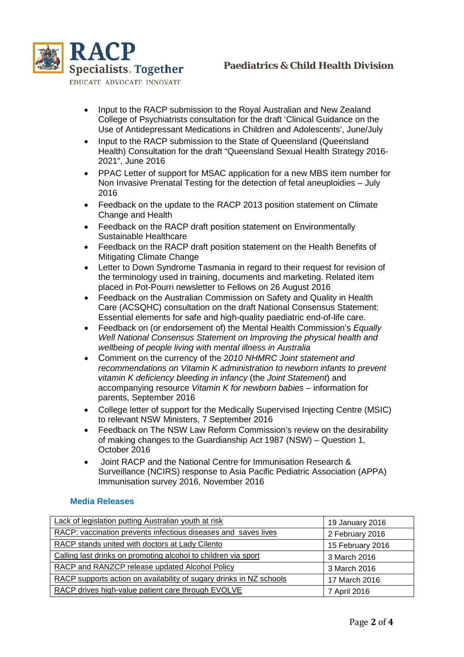

EDUCATE ADVOCATE INNOVATE

- Input to the RACP submission to the Royal Australian and New Zealand College of Psychiatrists consultation for the draft 'Clinical Guidance on the Use of Antidepressant Medications in Children and Adolescents', June/July
- Input to the RACP submission to the State of Queensland (Queensland Health) Consultation for the draft "Queensland Sexual Health Strategy 2016- 2021", June 2016
- PPAC Letter of support for MSAC application for a new MBS item number for Non Invasive Prenatal Testing for the detection of fetal aneuploidies – July 2016
- Feedback on the update to the RACP 2013 position statement on Climate Change and Health
- Feedback on the RACP draft position statement on Environmentally Sustainable Healthcare
- Feedback on the RACP draft position statement on the Health Benefits of Mitigating Climate Change
- Letter to Down Syndrome Tasmania in regard to their request for revision of the terminology used in training, documents and marketing. Related item placed in Pot-Pourri newsletter to Fellows on 26 August 2016
- Feedback on the Australian Commission on Safety and Quality in Health Care (ACSQHC) consultation on the draft National Consensus Statement: Essential elements for safe and high-quality paediatric end-of-life care.
- Feedback on (or endorsement of) the Mental Health Commission's *Equally Well National Consensus Statement on Improving the physical health and wellbeing of people living with mental illness in Australia*
- Comment on the currency of the 2*010 NHMRC Joint statement and recommendations on Vitamin K administration to newborn infants to prevent vitamin K deficiency bleeding in infancy* (the *Joint Statement*) and accompanying resource *Vitamin K for newborn babies* – information for parents, September 2016
- College letter of support for the Medically Supervised Injecting Centre (MSIC) to relevant NSW Ministers, 7 September 2016
- Feedback on The NSW Law Reform Commission's review on the desirability of making changes to the Guardianship Act 1987 (NSW) – Question 1, October 2016
- Joint RACP and the National Centre for Immunisation Research & Surveillance (NCIRS) response to Asia Pacific Pediatric Association (APPA) Immunisation survey 2016, November 2016

### **Media Releases**

| Lack of legislation putting Australian youth at risk                | 19 January 2016  |
|---------------------------------------------------------------------|------------------|
| RACP: vaccination prevents infectious diseases and saves lives      | 2 February 2016  |
| RACP stands united with doctors at Lady Cilento                     | 15 February 2016 |
| Calling last drinks on promoting alcohol to children via sport      | 3 March 2016     |
| RACP and RANZCP release updated Alcohol Policy                      | 3 March 2016     |
| RACP supports action on availability of sugary drinks in NZ schools | 17 March 2016    |
| RACP drives high-value patient care through EVOLVE                  | 7 April 2016     |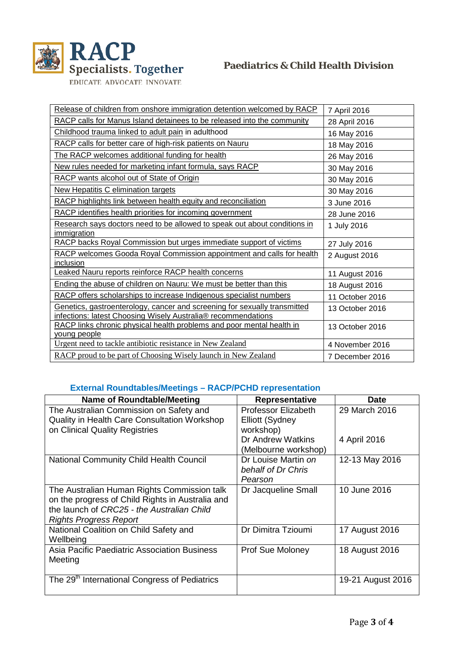

| Release of children from onshore immigration detention welcomed by RACP            | 7 April 2016    |
|------------------------------------------------------------------------------------|-----------------|
| RACP calls for Manus Island detainees to be released into the community            | 28 April 2016   |
| Childhood trauma linked to adult pain in adulthood                                 | 16 May 2016     |
| RACP calls for better care of high-risk patients on Nauru                          | 18 May 2016     |
| The RACP welcomes additional funding for health                                    | 26 May 2016     |
| New rules needed for marketing infant formula, says RACP                           | 30 May 2016     |
| RACP wants alcohol out of State of Origin                                          | 30 May 2016     |
| New Hepatitis C elimination targets                                                | 30 May 2016     |
| RACP highlights link between health equity and reconciliation                      | 3 June 2016     |
| RACP identifies health priorities for incoming government                          | 28 June 2016    |
| Research says doctors need to be allowed to speak out about conditions in          | 1 July 2016     |
| immigration                                                                        |                 |
| RACP backs Royal Commission but urges immediate support of victims                 | 27 July 2016    |
| RACP welcomes Gooda Royal Commission appointment and calls for health<br>inclusion | 2 August 2016   |
| Leaked Nauru reports reinforce RACP health concerns                                | 11 August 2016  |
| Ending the abuse of children on Nauru: We must be better than this                 | 18 August 2016  |
| RACP offers scholarships to increase Indigenous specialist numbers                 | 11 October 2016 |
| Genetics, gastroenterology, cancer and screening for sexually transmitted          | 13 October 2016 |
| infections: latest Choosing Wisely Australia® recommendations                      |                 |
| RACP links chronic physical health problems and poor mental health in              | 13 October 2016 |
| young people                                                                       |                 |
| Urgent need to tackle antibiotic resistance in New Zealand                         | 4 November 2016 |
| RACP proud to be part of Choosing Wisely launch in New Zealand                     | 7 December 2016 |

# **External Roundtables/Meetings – RACP/PCHD representation**

| <b>Name of Roundtable/Meeting</b>                                                                                                                                              | Representative                                             | <b>Date</b>       |
|--------------------------------------------------------------------------------------------------------------------------------------------------------------------------------|------------------------------------------------------------|-------------------|
| The Australian Commission on Safety and<br><b>Quality in Health Care Consultation Workshop</b><br>on Clinical Quality Registries                                               | Professor Elizabeth<br><b>Elliott (Sydney</b><br>workshop) | 29 March 2016     |
|                                                                                                                                                                                | Dr Andrew Watkins<br>(Melbourne workshop)                  | 4 April 2016      |
| <b>National Community Child Health Council</b>                                                                                                                                 | Dr Louise Martin on<br>behalf of Dr Chris<br>Pearson       | 12-13 May 2016    |
| The Australian Human Rights Commission talk<br>on the progress of Child Rights in Australia and<br>the launch of CRC25 - the Australian Child<br><b>Rights Progress Report</b> | Dr Jacqueline Small                                        | 10 June 2016      |
| National Coalition on Child Safety and<br>Wellbeing                                                                                                                            | Dr Dimitra Tzioumi                                         | 17 August 2016    |
| Asia Pacific Paediatric Association Business<br>Meeting                                                                                                                        | <b>Prof Sue Moloney</b>                                    | 18 August 2016    |
| The 29 <sup>th</sup> International Congress of Pediatrics                                                                                                                      |                                                            | 19-21 August 2016 |